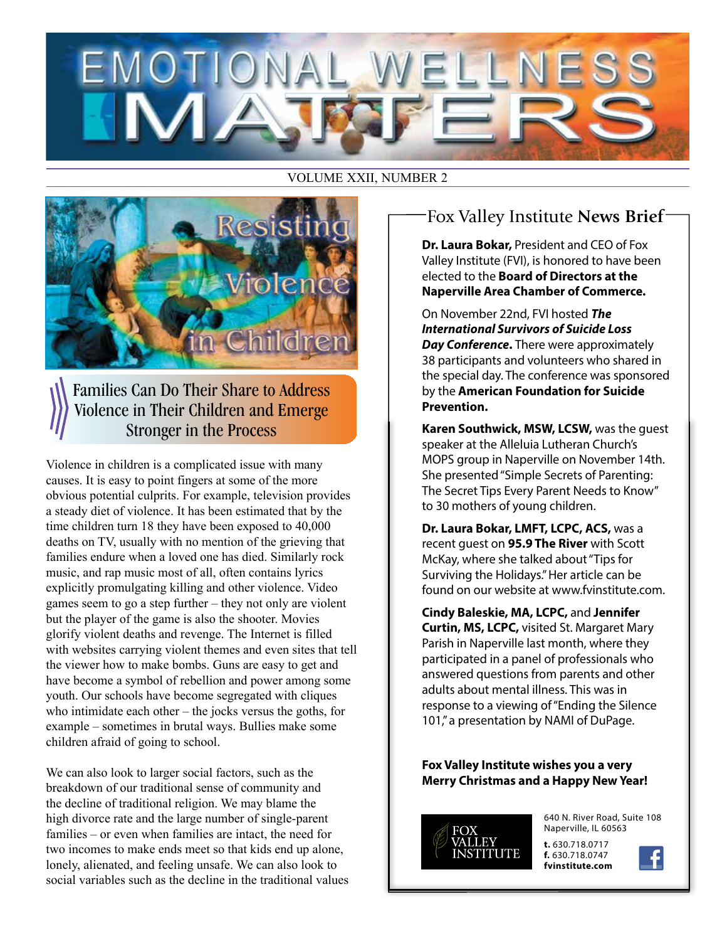#### VOLUME XXII, NUMBER 2



Families Can Do Their Share to Address Violence in Their Children and Emerge Stronger in the Process

Violence in children is a complicated issue with many causes. It is easy to point fingers at some of the more obvious potential culprits. For example, television provides a steady diet of violence. It has been estimated that by the time children turn 18 they have been exposed to 40,000 deaths on TV, usually with no mention of the grieving that families endure when a loved one has died. Similarly rock music, and rap music most of all, often contains lyrics explicitly promulgating killing and other violence. Video games seem to go a step further – they not only are violent but the player of the game is also the shooter. Movies glorify violent deaths and revenge. The Internet is filled with websites carrying violent themes and even sites that tell the viewer how to make bombs. Guns are easy to get and have become a symbol of rebellion and power among some youth. Our schools have become segregated with cliques who intimidate each other – the jocks versus the goths, for example – sometimes in brutal ways. Bullies make some children afraid of going to school.

We can also look to larger social factors, such as the breakdown of our traditional sense of community and the decline of traditional religion. We may blame the high divorce rate and the large number of single-parent 640 N. River Road, Suite 108<br>
a property of the logical parties in the contract of the contract of the contract of the contract of the contract of the contract of the families – or even when families are intact, the need for two incomes to make ends meet so that kids end up alone, lonely, alienated, and feeling unsafe. We can also look to social variables such as the decline in the traditional values

# Fox Valley Institute **News Brief**

**Dr. Laura Bokar,** President and CEO of Fox Valley Institute (FVI), is honored to have been elected to the **Board of Directors at the Naperville Area Chamber of Commerce.** 

On November 22nd, FVI hosted *The International Survivors of Suicide Loss Day Conference*. There were approximately 38 participants and volunteers who shared in the special day. The conference was sponsored by the **American Foundation for Suicide Prevention.** 

**Karen Southwick, MSW, LCSW,** was the guest speaker at the Alleluia Lutheran Church's MOPS group in Naperville on November 14th. She presented "Simple Secrets of Parenting: The Secret Tips Every Parent Needs to Know" to 30 mothers of young children.

**Dr. Laura Bokar, LMFT, LCPC, ACS,** was a recent guest on **95.9 The River** with Scott McKay, where she talked about "Tips for Surviving the Holidays." Her article can be found on our website at www.fvinstitute.com.

**Cindy Baleskie, MA, LCPC,** and **Jennifer Curtin, MS, LCPC,** visited St. Margaret Mary Parish in Naperville last month, where they participated in a panel of professionals who answered questions from parents and other adults about mental illness. This was in response to a viewing of "Ending the Silence 101," a presentation by NAMI of DuPage.

#### **Fox Valley Institute wishes you a very Merry Christmas and a Happy New Year!**



Naperville, IL 60563

**t.** 630.718.0717 **f.** 630.718.0747 **fvinstitute.com**

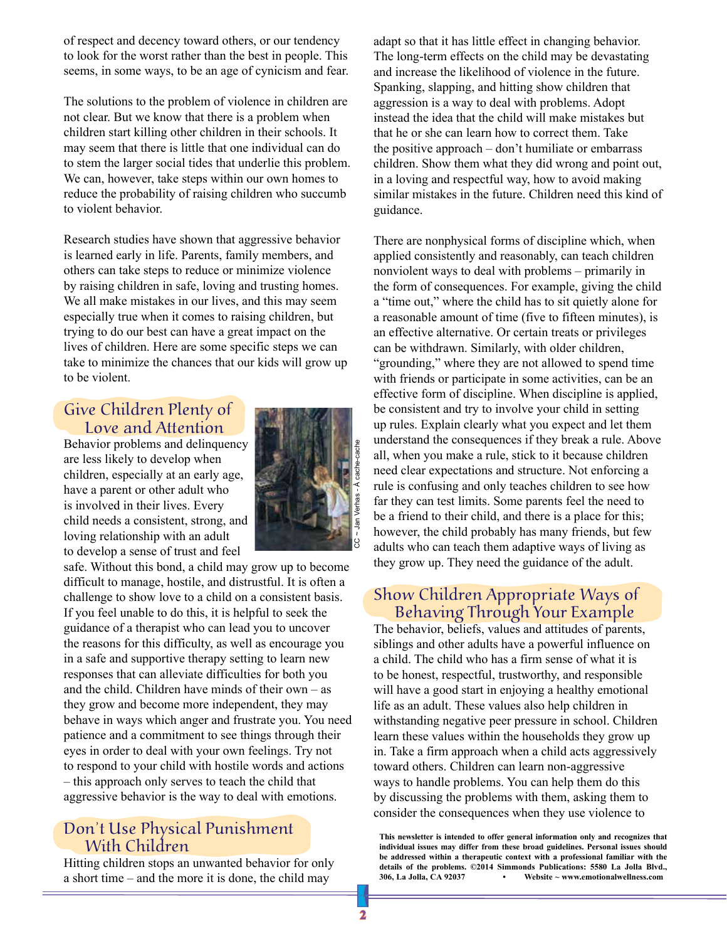of respect and decency toward others, or our tendency to look for the worst rather than the best in people. This seems, in some ways, to be an age of cynicism and fear.

The solutions to the problem of violence in children are not clear. But we know that there is a problem when children start killing other children in their schools. It may seem that there is little that one individual can do to stem the larger social tides that underlie this problem. We can, however, take steps within our own homes to reduce the probability of raising children who succumb to violent behavior.

Research studies have shown that aggressive behavior is learned early in life. Parents, family members, and others can take steps to reduce or minimize violence by raising children in safe, loving and trusting homes. We all make mistakes in our lives, and this may seem especially true when it comes to raising children, but trying to do our best can have a great impact on the lives of children. Here are some specific steps we can take to minimize the chances that our kids will grow up to be violent.

#### Give Children Plenty of Love and Attention

Behavior problems and delinquency are less likely to develop when children, especially at an early age, have a parent or other adult who is involved in their lives. Every child needs a consistent, strong, and loving relationship with an adult to develop a sense of trust and feel



safe. Without this bond, a child may grow up to become difficult to manage, hostile, and distrustful. It is often a challenge to show love to a child on a consistent basis. If you feel unable to do this, it is helpful to seek the guidance of a therapist who can lead you to uncover the reasons for this difficulty, as well as encourage you in a safe and supportive therapy setting to learn new responses that can alleviate difficulties for both you and the child. Children have minds of their own – as they grow and become more independent, they may behave in ways which anger and frustrate you. You need patience and a commitment to see things through their eyes in order to deal with your own feelings. Try not to respond to your child with hostile words and actions – this approach only serves to teach the child that aggressive behavior is the way to deal with emotions.

### Don't Use Physical Punishment With Children

Hitting children stops an unwanted behavior for only a short time – and the more it is done, the child may

adapt so that it has little effect in changing behavior. The long-term effects on the child may be devastating and increase the likelihood of violence in the future. Spanking, slapping, and hitting show children that aggression is a way to deal with problems. Adopt instead the idea that the child will make mistakes but that he or she can learn how to correct them. Take the positive approach – don't humiliate or embarrass children. Show them what they did wrong and point out, in a loving and respectful way, how to avoid making similar mistakes in the future. Children need this kind of guidance.

There are nonphysical forms of discipline which, when applied consistently and reasonably, can teach children nonviolent ways to deal with problems – primarily in the form of consequences. For example, giving the child a "time out," where the child has to sit quietly alone for a reasonable amount of time (five to fifteen minutes), is an effective alternative. Or certain treats or privileges can be withdrawn. Similarly, with older children, "grounding," where they are not allowed to spend time with friends or participate in some activities, can be an effective form of discipline. When discipline is applied, be consistent and try to involve your child in setting up rules. Explain clearly what you expect and let them understand the consequences if they break a rule. Above all, when you make a rule, stick to it because children need clear expectations and structure. Not enforcing a rule is confusing and only teaches children to see how far they can test limits. Some parents feel the need to be a friend to their child, and there is a place for this; however, the child probably has many friends, but few adults who can teach them adaptive ways of living as they grow up. They need the guidance of the adult.

#### Show Children Appropriate Ways of Behaving Through Your Example

The behavior, beliefs, values and attitudes of parents, siblings and other adults have a powerful influence on a child. The child who has a firm sense of what it is to be honest, respectful, trustworthy, and responsible will have a good start in enjoying a healthy emotional life as an adult. These values also help children in withstanding negative peer pressure in school. Children learn these values within the households they grow up in. Take a firm approach when a child acts aggressively toward others. Children can learn non-aggressive ways to handle problems. You can help them do this by discussing the problems with them, asking them to consider the consequences when they use violence to

**This newsletter is intended to offer general information only and recognizes that individual issues may differ from these broad guidelines. Personal issues should be addressed within a therapeutic context with a professional familiar with the details of the problems. ©2014 Simmonds Publications: 5580 La Jolla Blvd., 306, La Jolla, CA 92037 • Website ~ www.emotionalwellness.com**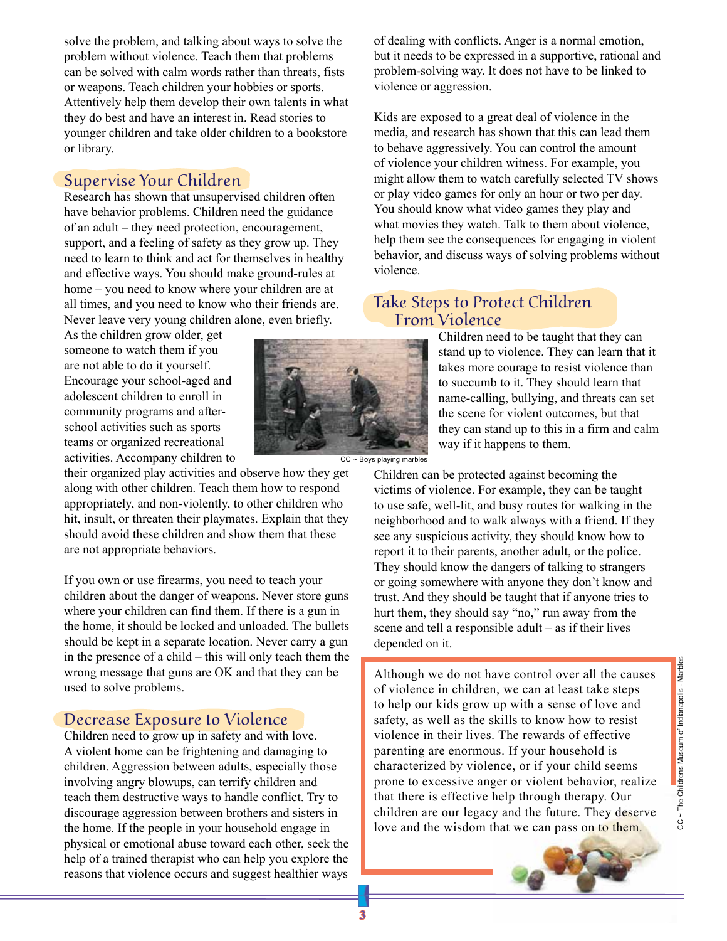solve the problem, and talking about ways to solve the problem without violence. Teach them that problems can be solved with calm words rather than threats, fists or weapons. Teach children your hobbies or sports. Attentively help them develop their own talents in what they do best and have an interest in. Read stories to younger children and take older children to a bookstore or library.

#### Supervise Your Children

Research has shown that unsupervised children often have behavior problems. Children need the guidance of an adult – they need protection, encouragement, support, and a feeling of safety as they grow up. They need to learn to think and act for themselves in healthy and effective ways. You should make ground-rules at home – you need to know where your children are at all times, and you need to know who their friends are. Never leave very young children alone, even briefly.

As the children grow older, get someone to watch them if you are not able to do it yourself. Encourage your school-aged and adolescent children to enroll in community programs and afterschool activities such as sports teams or organized recreational activities. Accompany children to

their organized play activities and observe how they get along with other children. Teach them how to respond appropriately, and non-violently, to other children who hit, insult, or threaten their playmates. Explain that they should avoid these children and show them that these are not appropriate behaviors.

If you own or use firearms, you need to teach your children about the danger of weapons. Never store guns where your children can find them. If there is a gun in the home, it should be locked and unloaded. The bullets should be kept in a separate location. Never carry a gun in the presence of a child – this will only teach them the wrong message that guns are OK and that they can be used to solve problems.

#### Decrease Exposure to Violence

**2 3**

Children need to grow up in safety and with love. A violent home can be frightening and damaging to children. Aggression between adults, especially those involving angry blowups, can terrify children and teach them destructive ways to handle conflict. Try to discourage aggression between brothers and sisters in the home. If the people in your household engage in physical or emotional abuse toward each other, seek the help of a trained therapist who can help you explore the reasons that violence occurs and suggest healthier ways



CC ~ Boys playing marbles

of dealing with conflicts. Anger is a normal emotion, but it needs to be expressed in a supportive, rational and problem-solving way. It does not have to be linked to violence or aggression.

Kids are exposed to a great deal of violence in the media, and research has shown that this can lead them to behave aggressively. You can control the amount of violence your children witness. For example, you might allow them to watch carefully selected TV shows or play video games for only an hour or two per day. You should know what video games they play and what movies they watch. Talk to them about violence, help them see the consequences for engaging in violent behavior, and discuss ways of solving problems without violence.

### Take Steps to Protect Children From Violence

Children need to be taught that they can stand up to violence. They can learn that it takes more courage to resist violence than to succumb to it. They should learn that name-calling, bullying, and threats can set the scene for violent outcomes, but that they can stand up to this in a firm and calm way if it happens to them.

Children can be protected against becoming the victims of violence. For example, they can be taught to use safe, well-lit, and busy routes for walking in the neighborhood and to walk always with a friend. If they see any suspicious activity, they should know how to report it to their parents, another adult, or the police. They should know the dangers of talking to strangers or going somewhere with anyone they don't know and trust. And they should be taught that if anyone tries to hurt them, they should say "no," run away from the scene and tell a responsible adult – as if their lives depended on it.

Although we do not have control over all the causes of violence in children, we can at least take steps to help our kids grow up with a sense of love and safety, as well as the skills to know how to resist violence in their lives. The rewards of effective parenting are enormous. If your household is characterized by violence, or if your child seems prone to excessive anger or violent behavior, realize that there is effective help through therapy. Our children are our legacy and the future. They deserve love and the wisdom that we can pass on to them.



CC ~ The Childrens Museum of Indianapolis - Marbles CC ~ The Childrens Museum of Indianapolis - Marbles